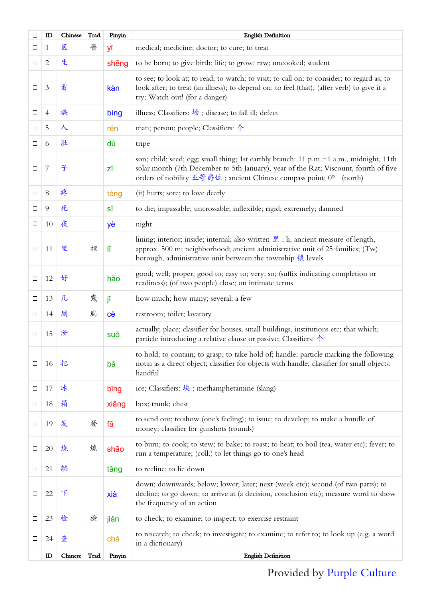| □      | ID             | Chinese | Trad. | Pinyin | <b>English Definition</b>                                                                                                                                                                                                                                |
|--------|----------------|---------|-------|--------|----------------------------------------------------------------------------------------------------------------------------------------------------------------------------------------------------------------------------------------------------------|
| ⊔      | 1              | 医       | 醫     | уī     | medical; medicine; doctor; to cure; to treat                                                                                                                                                                                                             |
| $\Box$ | $\overline{2}$ | 生       |       | shēng  | to be born; to give birth; life; to grow; raw; uncooked; student                                                                                                                                                                                         |
| $\Box$ | $\mathfrak{Z}$ | 看       |       | kàn    | to see; to look at; to read; to watch; to visit; to call on; to consider; to regard as; to<br>look after; to treat (an illness); to depend on; to feel (that); (after verb) to give it a<br>try; Watch out! (for a danger)                               |
| □      | $\overline{4}$ | 病       |       | bing   | illness; Classifiers: $\frac{1}{2}$ ; disease; to fall ill; defect                                                                                                                                                                                       |
| □      | 5              | 人       |       | rén    | man; person; people; Classifiers: $\uparrow$                                                                                                                                                                                                             |
| □      | 6              | 肚       |       | dů     | tripe                                                                                                                                                                                                                                                    |
| $\Box$ | $\sqrt{ }$     | 子       |       | zĭ     | son; child; seed; egg; small thing; 1st earthly branch: 11 p.m. -1 a.m., midnight, 11th<br>solar month (7th December to 5th January), year of the Rat; Viscount, fourth of five<br>orders of nobility 五等爵位; ancient Chinese compass point: 0°<br>(north) |
| □      | 8              | 疼       |       | téng   | (it) hurts; sore; to love dearly                                                                                                                                                                                                                         |
| $\Box$ | 9              | 死       |       | sĭ     | to die; impassable; uncrossable; inflexible; rigid; extremely; damned                                                                                                                                                                                    |
| $\Box$ | 10             | 夜       |       | yè     | night                                                                                                                                                                                                                                                    |
| $\Box$ | 11             | 里       | 裡     | ľĬ     | lining; interior; inside; internal; also written $\mathbb E$ ; li, ancient measure of length,<br>approx. 500 m; neighborhood; ancient administrative unit of 25 families; (Tw)<br>borough, administrative unit between the township 镇 levels             |
| □      | 12             | 好       |       | hǎo    | good; well; proper; good to; easy to; very; so; (suffix indicating completion or<br>readiness); (of two people) close; on intimate terms                                                                                                                 |
| ⊔      | 13             | 几       | 幾     | jĭ     | how much; how many; several; a few                                                                                                                                                                                                                       |
| $\Box$ | 14             | 厕       | 廁     | cè     | restroom; toilet; lavatory                                                                                                                                                                                                                               |
| $\Box$ | 15             | 所       |       | suǒ    | actually; place; classifier for houses, small buildings, institutions etc; that which;<br>particle introducing a relative clause or passive; Classifiers: 个                                                                                              |
| □      | 16             | 把       |       | bǎ     | to hold; to contain; to grasp; to take hold of; handle; particle marking the following<br>noun as a direct object; classifier for objects with handle; classifier for small objects:<br>handful                                                          |
| □      | 17             | 冰       |       | bing   | ice; Classifiers: $\frac{1}{2}$ ; methamphetamine (slang)                                                                                                                                                                                                |
| □      | 18             | 箱       |       | xiāng  | box; trunk; chest                                                                                                                                                                                                                                        |
| □      | 19             | 发       | 發     | fā     | to send out; to show (one's feeling); to issue; to develop; to make a bundle of<br>money; classifier for gunshots (rounds)                                                                                                                               |
| □      | 20             | 烧       | 燒     | shāo   | to burn; to cook; to stew; to bake; to roast; to heat; to boil (tea, water etc); fever; to<br>run a temperature; (coll.) to let things go to one's head                                                                                                  |
| □      | 21             | 躺       |       | tǎng   | to recline; to lie down                                                                                                                                                                                                                                  |
| □      | 22             | 下       |       | xià    | down; downwards; below; lower; later; next (week etc); second (of two parts); to<br>decline; to go down; to arrive at (a decision, conclusion etc); measure word to show<br>the frequency of an action                                                   |
| □      | 23             | 检       | 檢     | jiǎn   | to check; to examine; to inspect; to exercise restraint                                                                                                                                                                                                  |
| □      | 24             | 查       |       | chá    | to research; to check; to investigate; to examine; to refer to; to look up (e.g. a word<br>in a dictionary)                                                                                                                                              |
|        | $\mathbb D$    | Chinese | Trad. | Pinyin | <b>English Definition</b>                                                                                                                                                                                                                                |

## Provided by [Purple Culture](http://www.purpleculture.net)